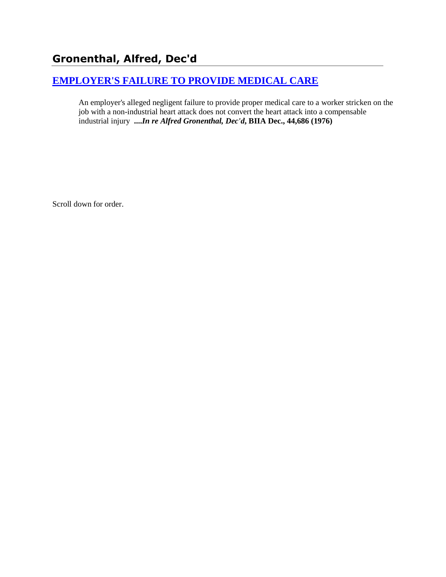# **Gronenthal, Alfred, Dec'd**

# **[EMPLOYER'S FAILURE TO PROVIDE MEDICAL CARE](http://www.biia.wa.gov/SDSubjectIndex.html#EMPLOYERS_FAILURE_TO_PROVIDE_MEDICAL_CARE)**

An employer's alleged negligent failure to provide proper medical care to a worker stricken on the job with a non-industrial heart attack does not convert the heart attack into a compensable industrial injury **....***In re Alfred Gronenthal, Dec'd***, BIIA Dec., 44,686 (1976)** 

Scroll down for order.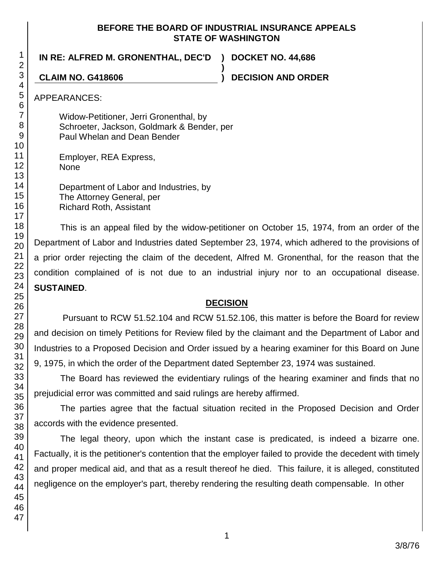#### **BEFORE THE BOARD OF INDUSTRIAL INSURANCE APPEALS STATE OF WASHINGTON**

**)**

**IN RE: ALFRED M. GRONENTHAL, DEC'D ) DOCKET NO. 44,686**

**CLAIM NO. G418606 ) DECISION AND ORDER**

APPEARANCES:

Widow-Petitioner, Jerri Gronenthal, by Schroeter, Jackson, Goldmark & Bender, per Paul Whelan and Dean Bender

Employer, REA Express, None

Department of Labor and Industries, by The Attorney General, per Richard Roth, Assistant

This is an appeal filed by the widow-petitioner on October 15, 1974, from an order of the Department of Labor and Industries dated September 23, 1974, which adhered to the provisions of a prior order rejecting the claim of the decedent, Alfred M. Gronenthal, for the reason that the condition complained of is not due to an industrial injury nor to an occupational disease. **SUSTAINED**.

## **DECISION**

Pursuant to RCW 51.52.104 and RCW 51.52.106, this matter is before the Board for review and decision on timely Petitions for Review filed by the claimant and the Department of Labor and Industries to a Proposed Decision and Order issued by a hearing examiner for this Board on June 9, 1975, in which the order of the Department dated September 23, 1974 was sustained.

The Board has reviewed the evidentiary rulings of the hearing examiner and finds that no prejudicial error was committed and said rulings are hereby affirmed.

The parties agree that the factual situation recited in the Proposed Decision and Order accords with the evidence presented.

The legal theory, upon which the instant case is predicated, is indeed a bizarre one. Factually, it is the petitioner's contention that the employer failed to provide the decedent with timely and proper medical aid, and that as a result thereof he died. This failure, it is alleged, constituted negligence on the employer's part, thereby rendering the resulting death compensable. In other

1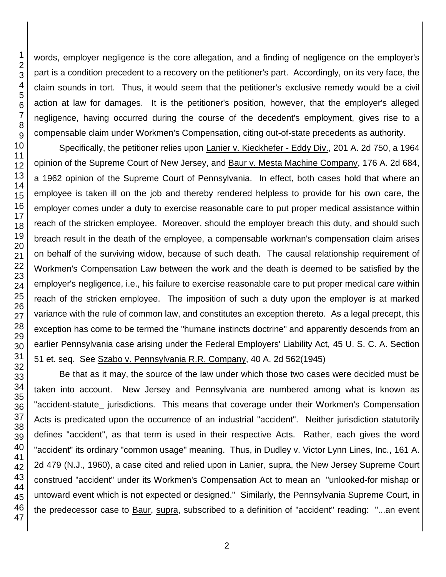words, employer negligence is the core allegation, and a finding of negligence on the employer's part is a condition precedent to a recovery on the petitioner's part. Accordingly, on its very face, the claim sounds in tort. Thus, it would seem that the petitioner's exclusive remedy would be a civil action at law for damages. It is the petitioner's position, however, that the employer's alleged negligence, having occurred during the course of the decedent's employment, gives rise to a compensable claim under Workmen's Compensation, citing out-of-state precedents as authority.

Specifically, the petitioner relies upon Lanier v. Kieckhefer - Eddy Div., 201 A. 2d 750, a 1964 opinion of the Supreme Court of New Jersey, and Baur v. Mesta Machine Company, 176 A. 2d 684, a 1962 opinion of the Supreme Court of Pennsylvania. In effect, both cases hold that where an employee is taken ill on the job and thereby rendered helpless to provide for his own care, the employer comes under a duty to exercise reasonable care to put proper medical assistance within reach of the stricken employee. Moreover, should the employer breach this duty, and should such breach result in the death of the employee, a compensable workman's compensation claim arises on behalf of the surviving widow, because of such death. The causal relationship requirement of Workmen's Compensation Law between the work and the death is deemed to be satisfied by the employer's negligence, i.e., his failure to exercise reasonable care to put proper medical care within reach of the stricken employee. The imposition of such a duty upon the employer is at marked variance with the rule of common law, and constitutes an exception thereto. As a legal precept, this exception has come to be termed the "humane instincts doctrine" and apparently descends from an earlier Pennsylvania case arising under the Federal Employers' Liability Act, 45 U. S. C. A. Section 51 et. seq. See Szabo v. Pennsylvania R.R. Company, 40 A. 2d 562(1945)

Be that as it may, the source of the law under which those two cases were decided must be taken into account. New Jersey and Pennsylvania are numbered among what is known as "accident-statute\_ jurisdictions. This means that coverage under their Workmen's Compensation Acts is predicated upon the occurrence of an industrial "accident". Neither jurisdiction statutorily defines "accident", as that term is used in their respective Acts. Rather, each gives the word "accident" its ordinary "common usage" meaning. Thus, in Dudley v. Victor Lynn Lines, Inc., 161 A. 2d 479 (N.J., 1960), a case cited and relied upon in Lanier, supra, the New Jersey Supreme Court construed "accident" under its Workmen's Compensation Act to mean an "unlooked-for mishap or untoward event which is not expected or designed." Similarly, the Pennsylvania Supreme Court, in the predecessor case to Baur, supra, subscribed to a definition of "accident" reading: "...an event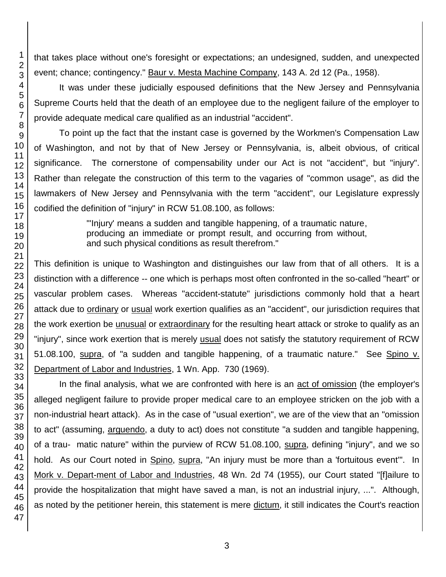that takes place without one's foresight or expectations; an undesigned, sudden, and unexpected event; chance; contingency." Baur v. Mesta Machine Company, 143 A. 2d 12 (Pa., 1958).

It was under these judicially espoused definitions that the New Jersey and Pennsylvania Supreme Courts held that the death of an employee due to the negligent failure of the employer to provide adequate medical care qualified as an industrial "accident".

To point up the fact that the instant case is governed by the Workmen's Compensation Law of Washington, and not by that of New Jersey or Pennsylvania, is, albeit obvious, of critical significance. The cornerstone of compensability under our Act is not "accident", but "injury". Rather than relegate the construction of this term to the vagaries of "common usage", as did the lawmakers of New Jersey and Pennsylvania with the term "accident", our Legislature expressly codified the definition of "injury" in RCW 51.08.100, as follows:

> "'Injury' means a sudden and tangible happening, of a traumatic nature, producing an immediate or prompt result, and occurring from without, and such physical conditions as result therefrom."

This definition is unique to Washington and distinguishes our law from that of all others. It is a distinction with a difference -- one which is perhaps most often confronted in the so-called "heart" or vascular problem cases. Whereas "accident-statute" jurisdictions commonly hold that a heart attack due to ordinary or usual work exertion qualifies as an "accident", our jurisdiction requires that the work exertion be unusual or extraordinary for the resulting heart attack or stroke to qualify as an "injury", since work exertion that is merely usual does not satisfy the statutory requirement of RCW 51.08.100, supra, of "a sudden and tangible happening, of a traumatic nature." See Spino v. Department of Labor and Industries, 1 Wn. App. 730 (1969).

In the final analysis, what we are confronted with here is an act of omission (the employer's alleged negligent failure to provide proper medical care to an employee stricken on the job with a non-industrial heart attack). As in the case of "usual exertion", we are of the view that an "omission to act" (assuming, arguendo, a duty to act) does not constitute "a sudden and tangible happening, of a trau- matic nature" within the purview of RCW 51.08.100, supra, defining "injury", and we so hold. As our Court noted in Spino, supra, "An injury must be more than a 'fortuitous event'". In Mork v. Depart-ment of Labor and Industries, 48 Wn. 2d 74 (1955), our Court stated "[f]ailure to provide the hospitalization that might have saved a man, is not an industrial injury, ...". Although, as noted by the petitioner herein, this statement is mere dictum, it still indicates the Court's reaction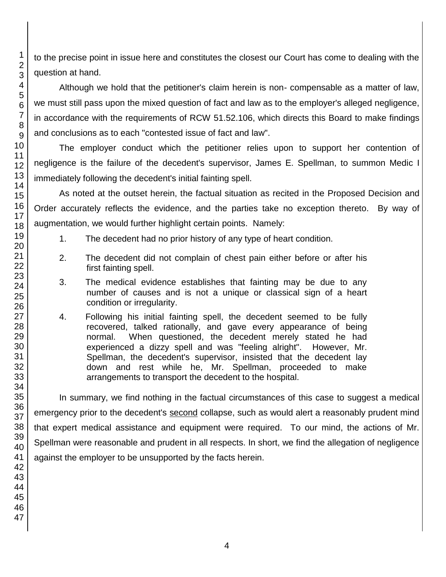to the precise point in issue here and constitutes the closest our Court has come to dealing with the question at hand.

Although we hold that the petitioner's claim herein is non- compensable as a matter of law, we must still pass upon the mixed question of fact and law as to the employer's alleged negligence, in accordance with the requirements of RCW 51.52.106, which directs this Board to make findings and conclusions as to each "contested issue of fact and law".

The employer conduct which the petitioner relies upon to support her contention of negligence is the failure of the decedent's supervisor, James E. Spellman, to summon Medic I immediately following the decedent's initial fainting spell.

As noted at the outset herein, the factual situation as recited in the Proposed Decision and Order accurately reflects the evidence, and the parties take no exception thereto. By way of augmentation, we would further highlight certain points. Namely:

- 1. The decedent had no prior history of any type of heart condition.
- 2. The decedent did not complain of chest pain either before or after his first fainting spell.
- 3. The medical evidence establishes that fainting may be due to any number of causes and is not a unique or classical sign of a heart condition or irregularity.
- 4. Following his initial fainting spell, the decedent seemed to be fully recovered, talked rationally, and gave every appearance of being normal. When questioned, the decedent merely stated he had experienced a dizzy spell and was "feeling alright". However, Mr. Spellman, the decedent's supervisor, insisted that the decedent lay down and rest while he, Mr. Spellman, proceeded to make arrangements to transport the decedent to the hospital.

In summary, we find nothing in the factual circumstances of this case to suggest a medical emergency prior to the decedent's second collapse, such as would alert a reasonably prudent mind that expert medical assistance and equipment were required. To our mind, the actions of Mr. Spellman were reasonable and prudent in all respects. In short, we find the allegation of negligence against the employer to be unsupported by the facts herein.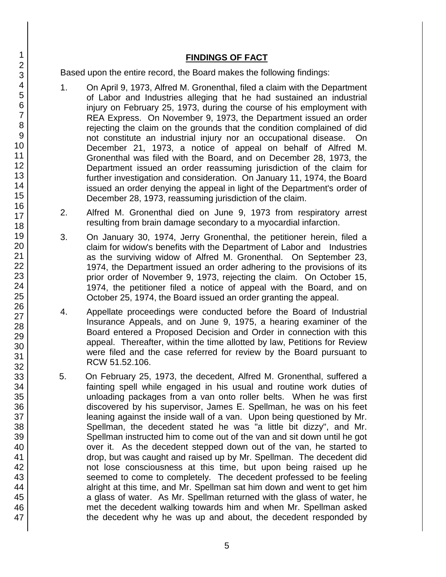### **FINDINGS OF FACT**

Based upon the entire record, the Board makes the following findings:

- 1. On April 9, 1973, Alfred M. Gronenthal, filed a claim with the Department of Labor and Industries alleging that he had sustained an industrial injury on February 25, 1973, during the course of his employment with REA Express. On November 9, 1973, the Department issued an order rejecting the claim on the grounds that the condition complained of did not constitute an industrial injury nor an occupational disease. On December 21, 1973, a notice of appeal on behalf of Alfred M. Gronenthal was filed with the Board, and on December 28, 1973, the Department issued an order reassuming jurisdiction of the claim for further investigation and consideration. On January 11, 1974, the Board issued an order denying the appeal in light of the Department's order of December 28, 1973, reassuming jurisdiction of the claim.
- 2. Alfred M. Gronenthal died on June 9, 1973 from respiratory arrest resulting from brain damage secondary to a myocardial infarction.
- 3. On January 30, 1974, Jerry Gronenthal, the petitioner herein, filed a claim for widow's benefits with the Department of Labor and Industries as the surviving widow of Alfred M. Gronenthal. On September 23, 1974, the Department issued an order adhering to the provisions of its prior order of November 9, 1973, rejecting the claim. On October 15, 1974, the petitioner filed a notice of appeal with the Board, and on October 25, 1974, the Board issued an order granting the appeal.
- 4. Appellate proceedings were conducted before the Board of Industrial Insurance Appeals, and on June 9, 1975, a hearing examiner of the Board entered a Proposed Decision and Order in connection with this appeal. Thereafter, within the time allotted by law, Petitions for Review were filed and the case referred for review by the Board pursuant to RCW 51.52.106.
- 5. On February 25, 1973, the decedent, Alfred M. Gronenthal, suffered a fainting spell while engaged in his usual and routine work duties of unloading packages from a van onto roller belts. When he was first discovered by his supervisor, James E. Spellman, he was on his feet leaning against the inside wall of a van. Upon being questioned by Mr. Spellman, the decedent stated he was "a little bit dizzy", and Mr. Spellman instructed him to come out of the van and sit down until he got over it. As the decedent stepped down out of the van, he started to drop, but was caught and raised up by Mr. Spellman. The decedent did not lose consciousness at this time, but upon being raised up he seemed to come to completely. The decedent professed to be feeling alright at this time, and Mr. Spellman sat him down and went to get him a glass of water. As Mr. Spellman returned with the glass of water, he met the decedent walking towards him and when Mr. Spellman asked the decedent why he was up and about, the decedent responded by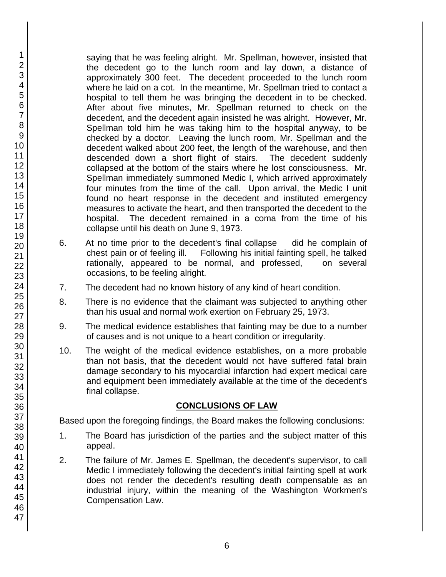saying that he was feeling alright. Mr. Spellman, however, insisted that the decedent go to the lunch room and lay down, a distance of approximately 300 feet. The decedent proceeded to the lunch room where he laid on a cot. In the meantime, Mr. Spellman tried to contact a hospital to tell them he was bringing the decedent in to be checked. After about five minutes, Mr. Spellman returned to check on the decedent, and the decedent again insisted he was alright. However, Mr. Spellman told him he was taking him to the hospital anyway, to be checked by a doctor. Leaving the lunch room, Mr. Spellman and the decedent walked about 200 feet, the length of the warehouse, and then descended down a short flight of stairs. The decedent suddenly collapsed at the bottom of the stairs where he lost consciousness. Mr. Spellman immediately summoned Medic I, which arrived approximately four minutes from the time of the call. Upon arrival, the Medic I unit found no heart response in the decedent and instituted emergency measures to activate the heart, and then transported the decedent to the hospital. The decedent remained in a coma from the time of his collapse until his death on June 9, 1973.

- 6. At no time prior to the decedent's final collapse did he complain of chest pain or of feeling ill. Following his initial fainting spell, he talked rationally, appeared to be normal, and professed, on several occasions, to be feeling alright.
- 7. The decedent had no known history of any kind of heart condition.
- 8. There is no evidence that the claimant was subjected to anything other than his usual and normal work exertion on February 25, 1973.
- 9. The medical evidence establishes that fainting may be due to a number of causes and is not unique to a heart condition or irregularity.
- 10. The weight of the medical evidence establishes, on a more probable than not basis, that the decedent would not have suffered fatal brain damage secondary to his myocardial infarction had expert medical care and equipment been immediately available at the time of the decedent's final collapse.

### **CONCLUSIONS OF LAW**

Based upon the foregoing findings, the Board makes the following conclusions:

- 1. The Board has jurisdiction of the parties and the subject matter of this appeal.
- 2. The failure of Mr. James E. Spellman, the decedent's supervisor, to call Medic I immediately following the decedent's initial fainting spell at work does not render the decedent's resulting death compensable as an industrial injury, within the meaning of the Washington Workmen's Compensation Law.